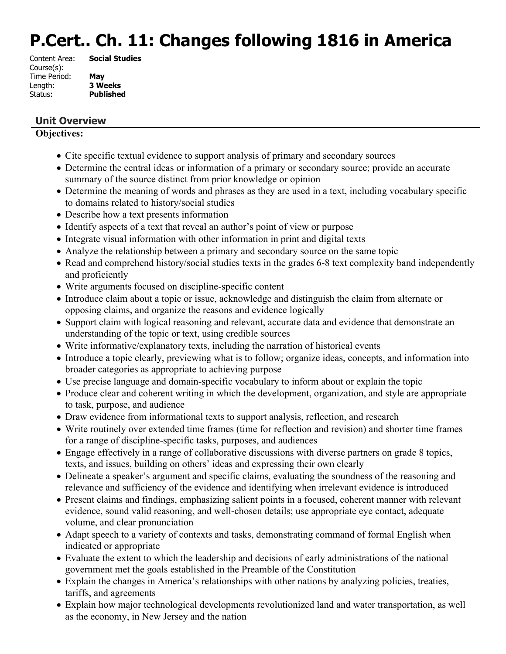# **P.Cert.. Ch. 11: Changes following 1816 in America**

| Content Area: | <b>Social Studies</b> |
|---------------|-----------------------|
| Course(s):    |                       |
| Time Period:  | May                   |
| Length:       | <b>3 Weeks</b>        |
| Status:       | <b>Published</b>      |
|               |                       |

# **Unit Overview**

#### **Objectives:**

- Cite specific textual evidence to support analysis of primary and secondary sources
- Determine the central ideas or information of a primary or secondary source; provide an accurate summary of the source distinct from prior knowledge or opinion
- Determine the meaning of words and phrases as they are used in a text, including vocabulary specific to domains related to history/social studies
- Describe how a text presents information
- Identify aspects of a text that reveal an author's point of view or purpose
- Integrate visual information with other information in print and digital texts
- Analyze the relationship between a primary and secondary source on the same topic
- Read and comprehend history/social studies texts in the grades 6-8 text complexity band independently and proficiently
- Write arguments focused on discipline-specific content
- Introduce claim about a topic or issue, acknowledge and distinguish the claim from alternate or opposing claims, and organize the reasons and evidence logically
- Support claim with logical reasoning and relevant, accurate data and evidence that demonstrate an understanding of the topic or text, using credible sources
- Write informative/explanatory texts, including the narration of historical events
- Introduce a topic clearly, previewing what is to follow; organize ideas, concepts, and information into broader categories as appropriate to achieving purpose
- Use precise language and domain-specific vocabulary to inform about or explain the topic
- Produce clear and coherent writing in which the development, organization, and style are appropriate to task, purpose, and audience
- Draw evidence from informational texts to support analysis, reflection, and research
- Write routinely over extended time frames (time for reflection and revision) and shorter time frames for a range of discipline-specific tasks, purposes, and audiences
- Engage effectively in a range of collaborative discussions with diverse partners on grade 8 topics, texts, and issues, building on others' ideas and expressing their own clearly
- Delineate a speaker's argument and specific claims, evaluating the soundness of the reasoning and relevance and sufficiency of the evidence and identifying when irrelevant evidence is introduced
- Present claims and findings, emphasizing salient points in a focused, coherent manner with relevant evidence, sound valid reasoning, and well-chosen details; use appropriate eye contact, adequate volume, and clear pronunciation
- Adapt speech to a variety of contexts and tasks, demonstrating command of formal English when indicated or appropriate
- Evaluate the extent to which the leadership and decisions of early administrations of the national government met the goals established in the Preamble of the Constitution
- Explain the changes in America's relationships with other nations by analyzing policies, treaties, tariffs, and agreements
- Explain how major technological developments revolutionized land and water transportation, as well as the economy, in New Jersey and the nation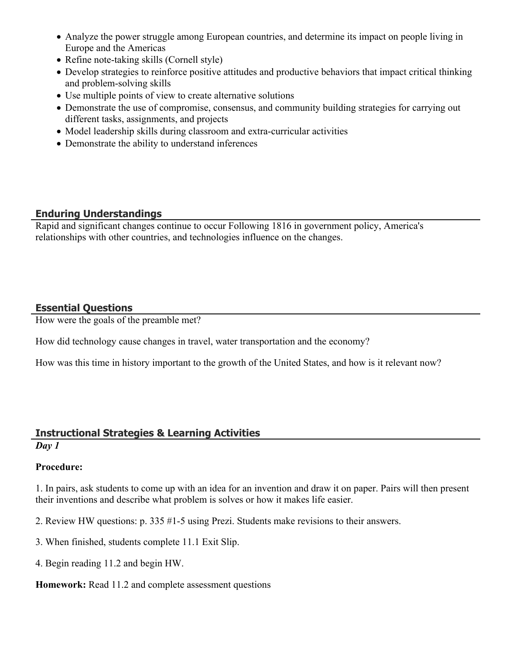- Analyze the power struggle among European countries, and determine its impact on people living in Europe and the Americas
- Refine note-taking skills (Cornell style)
- Develop strategies to reinforce positive attitudes and productive behaviors that impact critical thinking and problem-solving skills
- Use multiple points of view to create alternative solutions
- Demonstrate the use of compromise, consensus, and community building strategies for carrying out different tasks, assignments, and projects
- Model leadership skills during classroom and extra-curricular activities
- Demonstrate the ability to understand inferences

# **Enduring Understandings**

Rapid and significant changes continue to occur Following 1816 in government policy, America's relationships with other countries, and technologies influence on the changes.

# **Essential Questions**

How were the goals of the preamble met?

How did technology cause changes in travel, water transportation and the economy?

How was this time in history important to the growth of the United States, and how is it relevant now?

# **Instructional Strategies & Learning Activities**

#### *Day 1*

# **Procedure:**

1. In pairs, ask students to come up with an idea for an invention and draw it on paper. Pairs will then present their inventions and describe what problem is solves or how it makes life easier.

- 2. Review HW questions: p. 335 #1-5 using Prezi. Students make revisions to their answers.
- 3. When finished, students complete 11.1 Exit Slip.
- 4. Begin reading 11.2 and begin HW.

#### **Homework:** Read 11.2 and complete assessment questions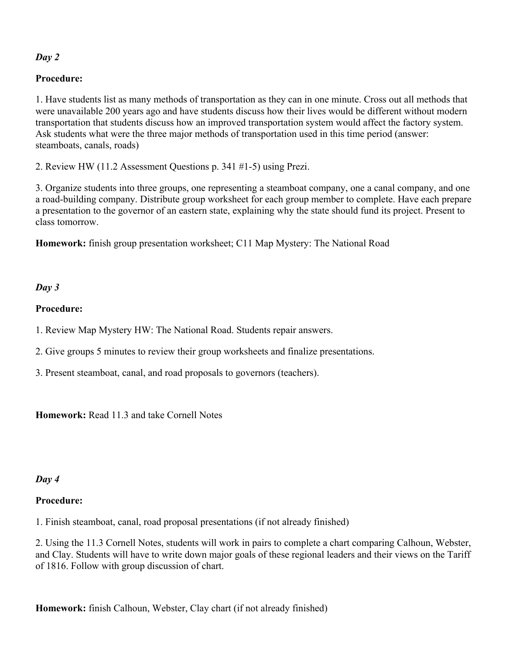# *Day 2*

### **Procedure:**

1. Have students list as many methods of transportation as they can in one minute. Cross out all methods that were unavailable 200 years ago and have students discuss how their lives would be different without modern transportation that students discuss how an improved transportation system would affect the factory system. Ask students what were the three major methods of transportation used in this time period (answer: steamboats, canals, roads)

2. Review HW (11.2 Assessment Questions p. 341 #1-5) using Prezi.

3. Organize students into three groups, one representing a steamboat company, one a canal company, and one a road-building company. Distribute group worksheet for each group member to complete. Have each prepare a presentation to the governor of an eastern state, explaining why the state should fund its project. Present to class tomorrow.

**Homework:** finish group presentation worksheet; C11 Map Mystery: The National Road

#### *Day 3*

#### **Procedure:**

- 1. Review Map Mystery HW: The National Road. Students repair answers.
- 2. Give groups 5 minutes to review their group worksheets and finalize presentations.
- 3. Present steamboat, canal, and road proposals to governors (teachers).

**Homework:** Read 11.3 and take Cornell Notes

#### *Day 4*

#### **Procedure:**

1. Finish steamboat, canal, road proposal presentations (if not already finished)

2. Using the 11.3 Cornell Notes, students will work in pairs to complete a chart comparing Calhoun, Webster, and Clay. Students will have to write down major goals of these regional leaders and their views on the Tariff of 1816. Follow with group discussion of chart.

**Homework:** finish Calhoun, Webster, Clay chart (if not already finished)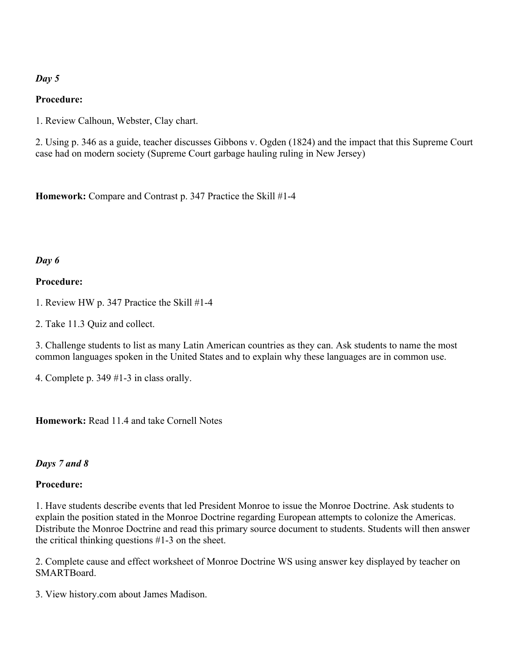#### *Day 5*

#### **Procedure:**

1. Review Calhoun, Webster, Clay chart.

2. Using p. 346 as a guide, teacher discusses Gibbons v. Ogden (1824) and the impact that this Supreme Court case had on modern society (Supreme Court garbage hauling ruling in New Jersey)

**Homework:** Compare and Contrast p. 347 Practice the Skill #1-4

#### *Day 6*

#### **Procedure:**

1. Review HW p. 347 Practice the Skill #1-4

2. Take 11.3 Quiz and collect.

3. Challenge students to list as many Latin American countries as they can. Ask students to name the most common languages spoken in the United States and to explain why these languages are in common use.

4. Complete p. 349 #1-3 in class orally.

**Homework:** Read 11.4 and take Cornell Notes

# *Days 7 and 8*

#### **Procedure:**

1. Have students describe events that led President Monroe to issue the Monroe Doctrine. Ask students to explain the position stated in the Monroe Doctrine regarding European attempts to colonize the Americas. Distribute the Monroe Doctrine and read this primary source document to students. Students will then answer the critical thinking questions #1-3 on the sheet.

2. Complete cause and effect worksheet of Monroe Doctrine WS using answer key displayed by teacher on **SMARTBoard.** 

3. View history.com about James Madison.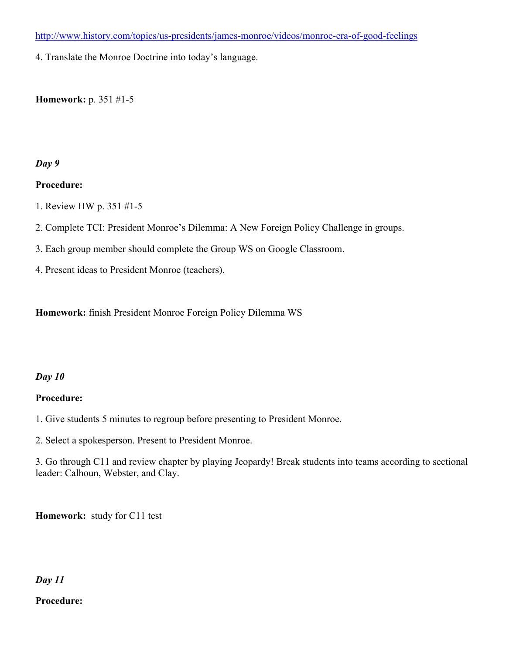<http://www.history.com/topics/us-presidents/james-monroe/videos/monroe-era-of-good-feelings>

4. Translate the Monroe Doctrine into today's language.

#### **Homework:** p. 351 #1-5

#### *Day 9*

#### **Procedure:**

- 1. Review HW p. 351 #1-5
- 2. Complete TCI: President Monroe's Dilemma: A New Foreign Policy Challenge in groups.
- 3. Each group member should complete the Group WS on Google Classroom.
- 4. Present ideas to President Monroe (teachers).

**Homework:** finish President Monroe Foreign Policy Dilemma WS

#### *Day 10*

#### **Procedure:**

1. Give students 5 minutes to regroup before presenting to President Monroe.

2. Select a spokesperson. Present to President Monroe.

3. Go through C11 and review chapter by playing Jeopardy! Break students into teams according to sectional leader: Calhoun, Webster, and Clay.

**Homework:** study for C11 test

#### *Day 11*

#### **Procedure:**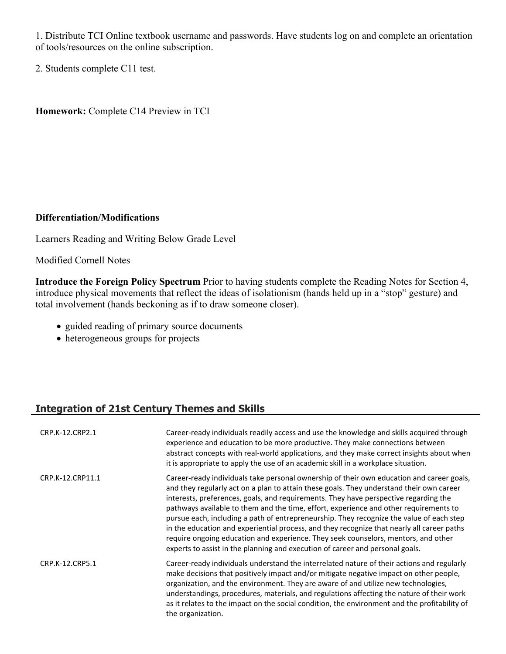1. Distribute TCI Online textbook username and passwords. Have students log on and complete an orientation of tools/resources on the online subscription.

2. Students complete C11 test.

**Homework:** Complete C14 Preview in TCI

#### **Differentiation/Modifications**

Learners Reading and Writing Below Grade Level

Modified Cornell Notes

**Introduce the Foreign Policy Spectrum** Prior to having students complete the Reading Notes for Section 4, introduce physical movements that reflect the ideas of isolationism (hands held up in a "stop" gesture) and total involvement (hands beckoning as if to draw someone closer).

- guided reading of primary source documents
- heterogeneous groups for projects

# **Integration of 21st Century Themes and Skills**

| CRP.K-12.CRP2.1  | Career-ready individuals readily access and use the knowledge and skills acquired through<br>experience and education to be more productive. They make connections between<br>abstract concepts with real-world applications, and they make correct insights about when<br>it is appropriate to apply the use of an academic skill in a workplace situation.                                                                                                                                                                                                                                                                                                                                                                            |
|------------------|-----------------------------------------------------------------------------------------------------------------------------------------------------------------------------------------------------------------------------------------------------------------------------------------------------------------------------------------------------------------------------------------------------------------------------------------------------------------------------------------------------------------------------------------------------------------------------------------------------------------------------------------------------------------------------------------------------------------------------------------|
| CRP.K-12.CRP11.1 | Career-ready individuals take personal ownership of their own education and career goals,<br>and they regularly act on a plan to attain these goals. They understand their own career<br>interests, preferences, goals, and requirements. They have perspective regarding the<br>pathways available to them and the time, effort, experience and other requirements to<br>pursue each, including a path of entrepreneurship. They recognize the value of each step<br>in the education and experiential process, and they recognize that nearly all career paths<br>require ongoing education and experience. They seek counselors, mentors, and other<br>experts to assist in the planning and execution of career and personal goals. |
| CRP.K-12.CRP5.1  | Career-ready individuals understand the interrelated nature of their actions and regularly<br>make decisions that positively impact and/or mitigate negative impact on other people,<br>organization, and the environment. They are aware of and utilize new technologies,<br>understandings, procedures, materials, and regulations affecting the nature of their work<br>as it relates to the impact on the social condition, the environment and the profitability of<br>the organization.                                                                                                                                                                                                                                           |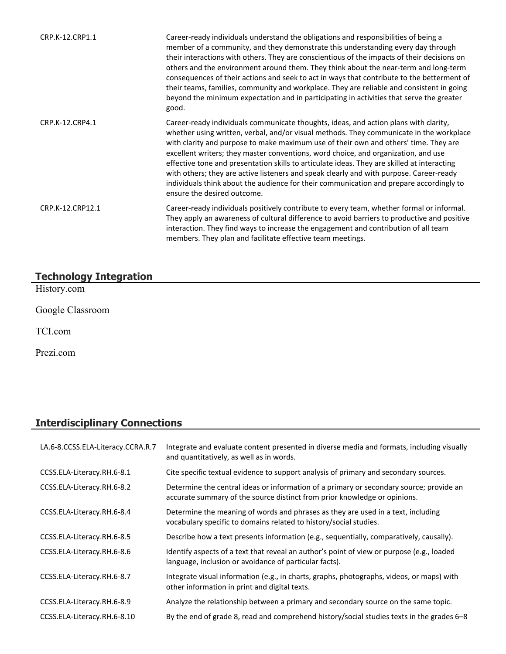| CRP.K-12.CRP1.1  | Career-ready individuals understand the obligations and responsibilities of being a<br>member of a community, and they demonstrate this understanding every day through<br>their interactions with others. They are conscientious of the impacts of their decisions on<br>others and the environment around them. They think about the near-term and long-term<br>consequences of their actions and seek to act in ways that contribute to the betterment of<br>their teams, families, community and workplace. They are reliable and consistent in going<br>beyond the minimum expectation and in participating in activities that serve the greater<br>good.                    |
|------------------|-----------------------------------------------------------------------------------------------------------------------------------------------------------------------------------------------------------------------------------------------------------------------------------------------------------------------------------------------------------------------------------------------------------------------------------------------------------------------------------------------------------------------------------------------------------------------------------------------------------------------------------------------------------------------------------|
| CRP.K-12.CRP4.1  | Career-ready individuals communicate thoughts, ideas, and action plans with clarity,<br>whether using written, verbal, and/or visual methods. They communicate in the workplace<br>with clarity and purpose to make maximum use of their own and others' time. They are<br>excellent writers; they master conventions, word choice, and organization, and use<br>effective tone and presentation skills to articulate ideas. They are skilled at interacting<br>with others; they are active listeners and speak clearly and with purpose. Career-ready<br>individuals think about the audience for their communication and prepare accordingly to<br>ensure the desired outcome. |
| CRP.K-12.CRP12.1 | Career-ready individuals positively contribute to every team, whether formal or informal.<br>They apply an awareness of cultural difference to avoid barriers to productive and positive<br>interaction. They find ways to increase the engagement and contribution of all team<br>members. They plan and facilitate effective team meetings.                                                                                                                                                                                                                                                                                                                                     |

#### **Technology Integration**

History.com

Google Classroom

TCI.com

Prezi.com

# **Interdisciplinary Connections**

| LA.6-8.CCSS.ELA-Literacy.CCRA.R.7 | Integrate and evaluate content presented in diverse media and formats, including visually<br>and quantitatively, as well as in words.                                |
|-----------------------------------|----------------------------------------------------------------------------------------------------------------------------------------------------------------------|
| CCSS.ELA-Literacy.RH.6-8.1        | Cite specific textual evidence to support analysis of primary and secondary sources.                                                                                 |
| CCSS.ELA-Literacy.RH.6-8.2        | Determine the central ideas or information of a primary or secondary source; provide an<br>accurate summary of the source distinct from prior knowledge or opinions. |
| CCSS.ELA-Literacy.RH.6-8.4        | Determine the meaning of words and phrases as they are used in a text, including<br>vocabulary specific to domains related to history/social studies.                |
| CCSS.ELA-Literacy.RH.6-8.5        | Describe how a text presents information (e.g., sequentially, comparatively, causally).                                                                              |
| CCSS.ELA-Literacy.RH.6-8.6        | Identify aspects of a text that reveal an author's point of view or purpose (e.g., loaded<br>language, inclusion or avoidance of particular facts).                  |
| CCSS.ELA-Literacy.RH.6-8.7        | Integrate visual information (e.g., in charts, graphs, photographs, videos, or maps) with<br>other information in print and digital texts.                           |
| CCSS.ELA-Literacy.RH.6-8.9        | Analyze the relationship between a primary and secondary source on the same topic.                                                                                   |
| CCSS.ELA-Literacy.RH.6-8.10       | By the end of grade 8, read and comprehend history/social studies texts in the grades 6–8                                                                            |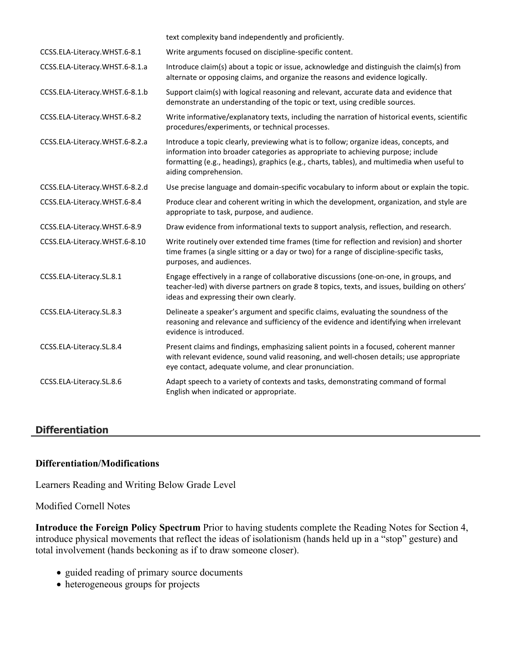|                                | text complexity band independently and proficiently.                                                                                                                                                                                                                                               |
|--------------------------------|----------------------------------------------------------------------------------------------------------------------------------------------------------------------------------------------------------------------------------------------------------------------------------------------------|
| CCSS.ELA-Literacy.WHST.6-8.1   | Write arguments focused on discipline-specific content.                                                                                                                                                                                                                                            |
| CCSS.ELA-Literacy.WHST.6-8.1.a | Introduce claim(s) about a topic or issue, acknowledge and distinguish the claim(s) from<br>alternate or opposing claims, and organize the reasons and evidence logically.                                                                                                                         |
| CCSS.ELA-Literacy.WHST.6-8.1.b | Support claim(s) with logical reasoning and relevant, accurate data and evidence that<br>demonstrate an understanding of the topic or text, using credible sources.                                                                                                                                |
| CCSS.ELA-Literacy.WHST.6-8.2   | Write informative/explanatory texts, including the narration of historical events, scientific<br>procedures/experiments, or technical processes.                                                                                                                                                   |
| CCSS.ELA-Literacy.WHST.6-8.2.a | Introduce a topic clearly, previewing what is to follow; organize ideas, concepts, and<br>information into broader categories as appropriate to achieving purpose; include<br>formatting (e.g., headings), graphics (e.g., charts, tables), and multimedia when useful to<br>aiding comprehension. |
| CCSS.ELA-Literacy.WHST.6-8.2.d | Use precise language and domain-specific vocabulary to inform about or explain the topic.                                                                                                                                                                                                          |
| CCSS.ELA-Literacy.WHST.6-8.4   | Produce clear and coherent writing in which the development, organization, and style are<br>appropriate to task, purpose, and audience.                                                                                                                                                            |
| CCSS.ELA-Literacy.WHST.6-8.9   | Draw evidence from informational texts to support analysis, reflection, and research.                                                                                                                                                                                                              |
| CCSS.ELA-Literacy.WHST.6-8.10  | Write routinely over extended time frames (time for reflection and revision) and shorter<br>time frames (a single sitting or a day or two) for a range of discipline-specific tasks,<br>purposes, and audiences.                                                                                   |
| CCSS.ELA-Literacy.SL.8.1       | Engage effectively in a range of collaborative discussions (one-on-one, in groups, and<br>teacher-led) with diverse partners on grade 8 topics, texts, and issues, building on others'<br>ideas and expressing their own clearly.                                                                  |
| CCSS.ELA-Literacy.SL.8.3       | Delineate a speaker's argument and specific claims, evaluating the soundness of the<br>reasoning and relevance and sufficiency of the evidence and identifying when irrelevant<br>evidence is introduced.                                                                                          |
| CCSS.ELA-Literacy.SL.8.4       | Present claims and findings, emphasizing salient points in a focused, coherent manner<br>with relevant evidence, sound valid reasoning, and well-chosen details; use appropriate<br>eye contact, adequate volume, and clear pronunciation.                                                         |
| CCSS.ELA-Literacy.SL.8.6       | Adapt speech to a variety of contexts and tasks, demonstrating command of formal<br>English when indicated or appropriate.                                                                                                                                                                         |

#### **Differentiation**

#### **Differentiation/Modifications**

Learners Reading and Writing Below Grade Level

Modified Cornell Notes

**Introduce the Foreign Policy Spectrum** Prior to having students complete the Reading Notes for Section 4, introduce physical movements that reflect the ideas of isolationism (hands held up in a "stop" gesture) and total involvement (hands beckoning as if to draw someone closer).

- guided reading of primary source documents
- heterogeneous groups for projects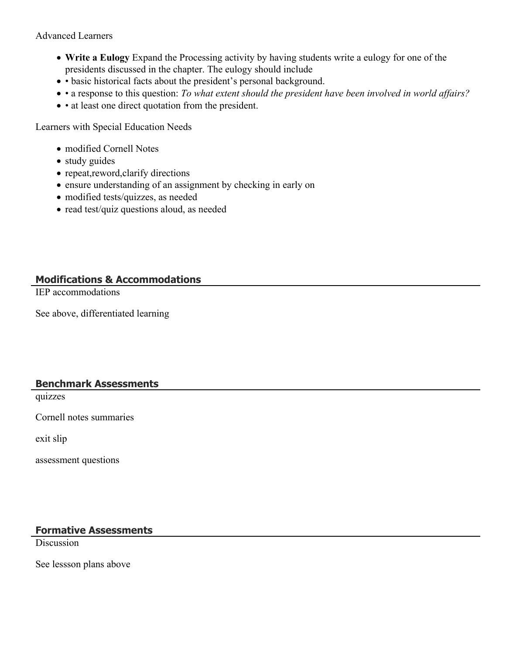#### Advanced Learners

- **Write a Eulogy** Expand the Processing activity by having students write a eulogy for one of the presidents discussed in the chapter. The eulogy should include
- basic historical facts about the president's personal background.
- a response to this question: *To what extent should the president have been involved in world affairs?*
- at least one direct quotation from the president.

Learners with Special Education Needs

- modified Cornell Notes
- study guides
- repeat, reword, clarify directions
- ensure understanding of an assignment by checking in early on
- modified tests/quizzes, as needed
- read test/quiz questions aloud, as needed

# **Modifications & Accommodations**

IEP accommodations

See above, differentiated learning

#### **Benchmark Assessments**

quizzes

Cornell notes summaries

exit slip

assessment questions

# **Formative Assessments**

**Discussion** 

See lessson plans above